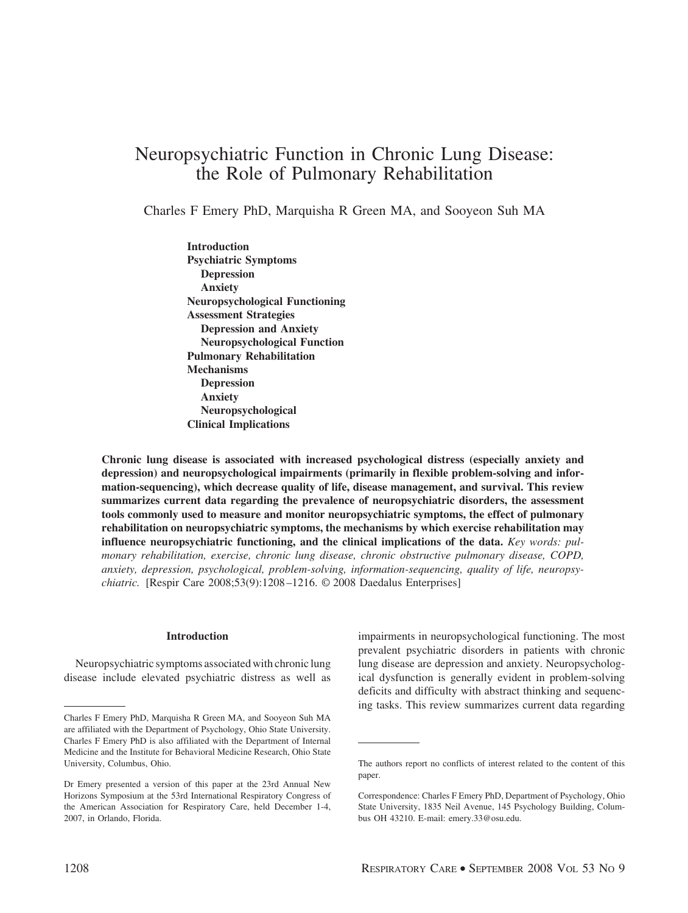# Neuropsychiatric Function in Chronic Lung Disease: the Role of Pulmonary Rehabilitation

Charles F Emery PhD, Marquisha R Green MA, and Sooyeon Suh MA

**Introduction Psychiatric Symptoms Depression Anxiety Neuropsychological Functioning Assessment Strategies Depression and Anxiety Neuropsychological Function Pulmonary Rehabilitation Mechanisms Depression Anxiety Neuropsychological Clinical Implications**

**Chronic lung disease is associated with increased psychological distress (especially anxiety and depression) and neuropsychological impairments (primarily in flexible problem-solving and information-sequencing), which decrease quality of life, disease management, and survival. This review summarizes current data regarding the prevalence of neuropsychiatric disorders, the assessment tools commonly used to measure and monitor neuropsychiatric symptoms, the effect of pulmonary rehabilitation on neuropsychiatric symptoms, the mechanisms by which exercise rehabilitation may influence neuropsychiatric functioning, and the clinical implications of the data.** *Key words: pulmonary rehabilitation, exercise, chronic lung disease, chronic obstructive pulmonary disease, COPD, anxiety, depression, psychological, problem-solving, information-sequencing, quality of life, neuropsychiatric.* [Respir Care 2008;53(9):1208 –1216. © 2008 Daedalus Enterprises]

# **Introduction**

Neuropsychiatric symptoms associated with chronic lung disease include elevated psychiatric distress as well as impairments in neuropsychological functioning. The most prevalent psychiatric disorders in patients with chronic lung disease are depression and anxiety. Neuropsychological dysfunction is generally evident in problem-solving deficits and difficulty with abstract thinking and sequencing tasks. This review summarizes current data regarding

Charles F Emery PhD, Marquisha R Green MA, and Sooyeon Suh MA are affiliated with the Department of Psychology, Ohio State University. Charles F Emery PhD is also affiliated with the Department of Internal Medicine and the Institute for Behavioral Medicine Research, Ohio State University, Columbus, Ohio.

Dr Emery presented a version of this paper at the 23rd Annual New Horizons Symposium at the 53rd International Respiratory Congress of the American Association for Respiratory Care, held December 1-4, 2007, in Orlando, Florida.

The authors report no conflicts of interest related to the content of this paper.

Correspondence: Charles F Emery PhD, Department of Psychology, Ohio State University, 1835 Neil Avenue, 145 Psychology Building, Columbus OH 43210. E-mail: emery.33@osu.edu.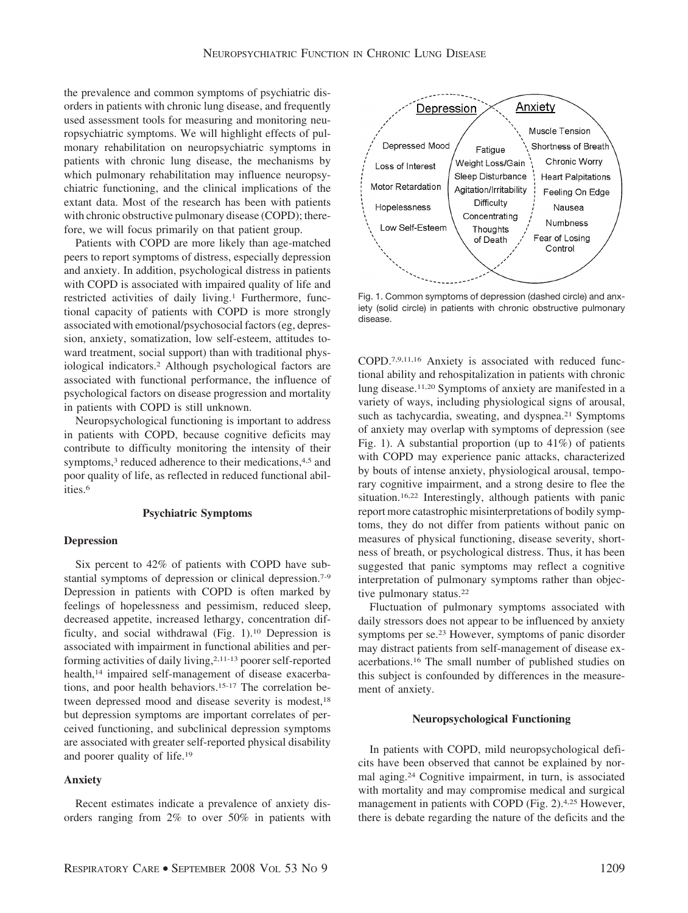the prevalence and common symptoms of psychiatric disorders in patients with chronic lung disease, and frequently used assessment tools for measuring and monitoring neuropsychiatric symptoms. We will highlight effects of pulmonary rehabilitation on neuropsychiatric symptoms in patients with chronic lung disease, the mechanisms by which pulmonary rehabilitation may influence neuropsychiatric functioning, and the clinical implications of the extant data. Most of the research has been with patients with chronic obstructive pulmonary disease (COPD); therefore, we will focus primarily on that patient group.

Patients with COPD are more likely than age-matched peers to report symptoms of distress, especially depression and anxiety. In addition, psychological distress in patients with COPD is associated with impaired quality of life and restricted activities of daily living.<sup>1</sup> Furthermore, functional capacity of patients with COPD is more strongly associated with emotional/psychosocial factors (eg, depression, anxiety, somatization, low self-esteem, attitudes toward treatment, social support) than with traditional physiological indicators.2 Although psychological factors are associated with functional performance, the influence of psychological factors on disease progression and mortality in patients with COPD is still unknown.

Neuropsychological functioning is important to address in patients with COPD, because cognitive deficits may contribute to difficulty monitoring the intensity of their symptoms,<sup>3</sup> reduced adherence to their medications,<sup>4,5</sup> and poor quality of life, as reflected in reduced functional abilities.6

#### **Psychiatric Symptoms**

# **Depression**

Six percent to 42% of patients with COPD have substantial symptoms of depression or clinical depression.7-9 Depression in patients with COPD is often marked by feelings of hopelessness and pessimism, reduced sleep, decreased appetite, increased lethargy, concentration difficulty, and social withdrawal (Fig. 1).10 Depression is associated with impairment in functional abilities and performing activities of daily living,<sup>2,11-13</sup> poorer self-reported health,<sup>14</sup> impaired self-management of disease exacerbations, and poor health behaviors.15-17 The correlation between depressed mood and disease severity is modest,<sup>18</sup> but depression symptoms are important correlates of perceived functioning, and subclinical depression symptoms are associated with greater self-reported physical disability and poorer quality of life.19

# **Anxiety**

Recent estimates indicate a prevalence of anxiety disorders ranging from 2% to over 50% in patients with



Fig. 1. Common symptoms of depression (dashed circle) and anxiety (solid circle) in patients with chronic obstructive pulmonary disease.

COPD.7,9,11,16 Anxiety is associated with reduced functional ability and rehospitalization in patients with chronic lung disease.11,20 Symptoms of anxiety are manifested in a variety of ways, including physiological signs of arousal, such as tachycardia, sweating, and dyspnea.<sup>21</sup> Symptoms of anxiety may overlap with symptoms of depression (see Fig. 1). A substantial proportion (up to 41%) of patients with COPD may experience panic attacks, characterized by bouts of intense anxiety, physiological arousal, temporary cognitive impairment, and a strong desire to flee the situation.16,22 Interestingly, although patients with panic report more catastrophic misinterpretations of bodily symptoms, they do not differ from patients without panic on measures of physical functioning, disease severity, shortness of breath, or psychological distress. Thus, it has been suggested that panic symptoms may reflect a cognitive interpretation of pulmonary symptoms rather than objective pulmonary status.<sup>22</sup>

Fluctuation of pulmonary symptoms associated with daily stressors does not appear to be influenced by anxiety symptoms per se.23 However, symptoms of panic disorder may distract patients from self-management of disease exacerbations.16 The small number of published studies on this subject is confounded by differences in the measurement of anxiety.

## **Neuropsychological Functioning**

In patients with COPD, mild neuropsychological deficits have been observed that cannot be explained by normal aging.24 Cognitive impairment, in turn, is associated with mortality and may compromise medical and surgical management in patients with COPD (Fig. 2).4,25 However, there is debate regarding the nature of the deficits and the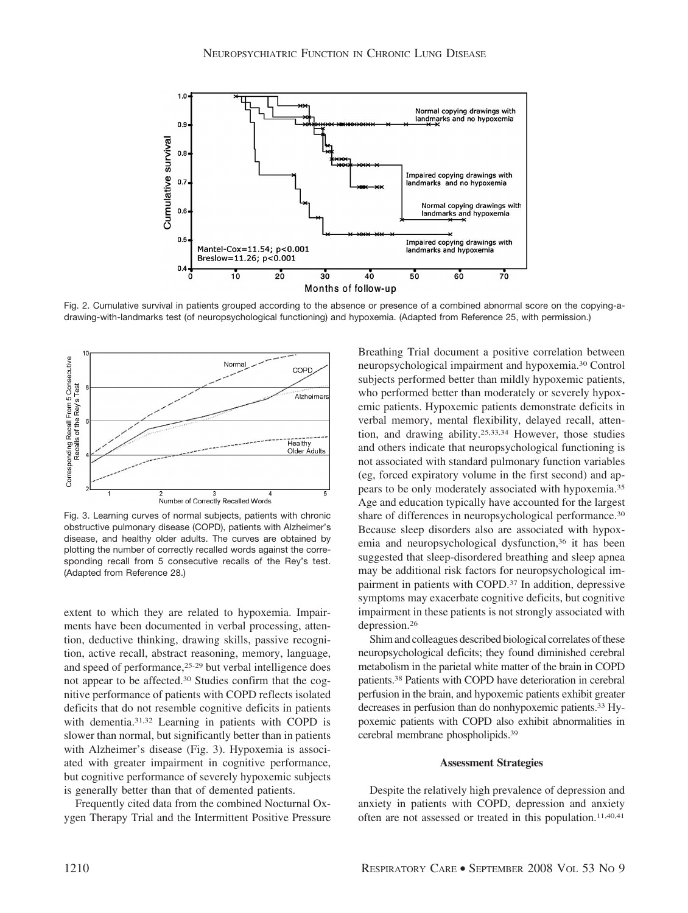

Fig. 2. Cumulative survival in patients grouped according to the absence or presence of a combined abnormal score on the copying-adrawing-with-landmarks test (of neuropsychological functioning) and hypoxemia. (Adapted from Reference 25, with permission.)



Fig. 3. Learning curves of normal subjects, patients with chronic obstructive pulmonary disease (COPD), patients with Alzheimer's disease, and healthy older adults. The curves are obtained by plotting the number of correctly recalled words against the corresponding recall from 5 consecutive recalls of the Rey's test. (Adapted from Reference 28.)

extent to which they are related to hypoxemia. Impairments have been documented in verbal processing, attention, deductive thinking, drawing skills, passive recognition, active recall, abstract reasoning, memory, language, and speed of performance,25-29 but verbal intelligence does not appear to be affected.30 Studies confirm that the cognitive performance of patients with COPD reflects isolated deficits that do not resemble cognitive deficits in patients with dementia.31,32 Learning in patients with COPD is slower than normal, but significantly better than in patients with Alzheimer's disease (Fig. 3). Hypoxemia is associated with greater impairment in cognitive performance, but cognitive performance of severely hypoxemic subjects is generally better than that of demented patients.

Frequently cited data from the combined Nocturnal Oxygen Therapy Trial and the Intermittent Positive Pressure Breathing Trial document a positive correlation between neuropsychological impairment and hypoxemia.30 Control subjects performed better than mildly hypoxemic patients, who performed better than moderately or severely hypoxemic patients. Hypoxemic patients demonstrate deficits in verbal memory, mental flexibility, delayed recall, attention, and drawing ability.25,33,34 However, those studies and others indicate that neuropsychological functioning is not associated with standard pulmonary function variables (eg, forced expiratory volume in the first second) and appears to be only moderately associated with hypoxemia.35 Age and education typically have accounted for the largest share of differences in neuropsychological performance.<sup>30</sup> Because sleep disorders also are associated with hypoxemia and neuropsychological dysfunction,<sup>36</sup> it has been suggested that sleep-disordered breathing and sleep apnea may be additional risk factors for neuropsychological impairment in patients with COPD.37 In addition, depressive symptoms may exacerbate cognitive deficits, but cognitive impairment in these patients is not strongly associated with depression.26

Shim and colleagues described biological correlates of these neuropsychological deficits; they found diminished cerebral metabolism in the parietal white matter of the brain in COPD patients.38 Patients with COPD have deterioration in cerebral perfusion in the brain, and hypoxemic patients exhibit greater decreases in perfusion than do nonhypoxemic patients.33 Hypoxemic patients with COPD also exhibit abnormalities in cerebral membrane phospholipids.39

#### **Assessment Strategies**

Despite the relatively high prevalence of depression and anxiety in patients with COPD, depression and anxiety often are not assessed or treated in this population.<sup>11,40,41</sup>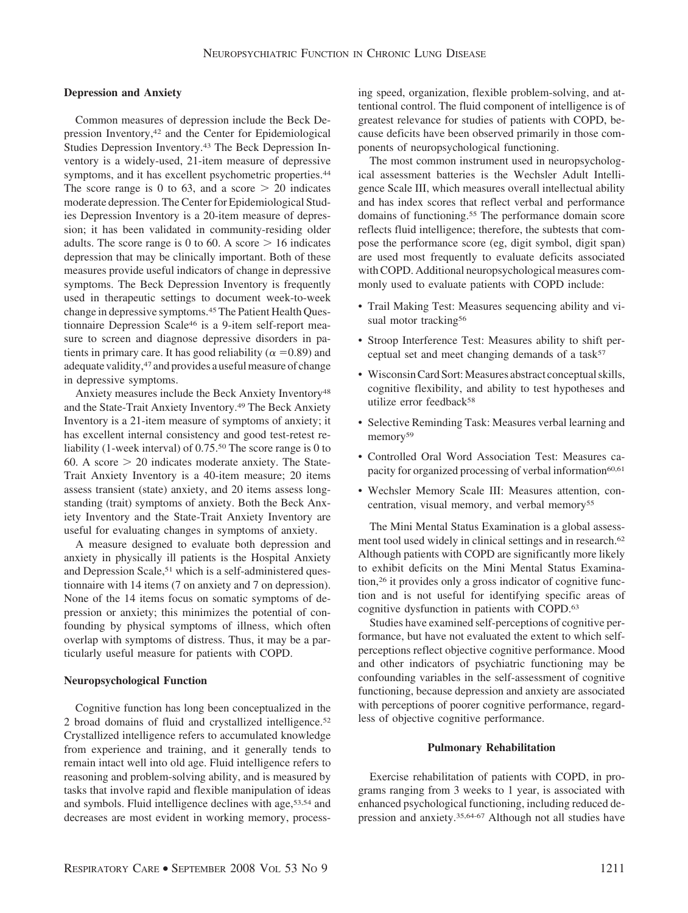### **Depression and Anxiety**

Common measures of depression include the Beck Depression Inventory,42 and the Center for Epidemiological Studies Depression Inventory.43 The Beck Depression Inventory is a widely-used, 21-item measure of depressive symptoms, and it has excellent psychometric properties.<sup>44</sup> The score range is 0 to 63, and a score  $> 20$  indicates moderate depression. The Center for Epidemiological Studies Depression Inventory is a 20-item measure of depression; it has been validated in community-residing older adults. The score range is 0 to 60. A score  $> 16$  indicates depression that may be clinically important. Both of these measures provide useful indicators of change in depressive symptoms. The Beck Depression Inventory is frequently used in therapeutic settings to document week-to-week change in depressive symptoms.<sup>45</sup> The Patient Health Questionnaire Depression Scale46 is a 9-item self-report measure to screen and diagnose depressive disorders in patients in primary care. It has good reliability ( $\alpha = 0.89$ ) and adequate validity, <sup>47</sup> and provides a useful measure of change in depressive symptoms.

Anxiety measures include the Beck Anxiety Inventory<sup>48</sup> and the State-Trait Anxiety Inventory.49 The Beck Anxiety Inventory is a 21-item measure of symptoms of anxiety; it has excellent internal consistency and good test-retest reliability (1-week interval) of 0.75.50 The score range is 0 to 60. A score  $> 20$  indicates moderate anxiety. The State-Trait Anxiety Inventory is a 40-item measure; 20 items assess transient (state) anxiety, and 20 items assess longstanding (trait) symptoms of anxiety. Both the Beck Anxiety Inventory and the State-Trait Anxiety Inventory are useful for evaluating changes in symptoms of anxiety.

A measure designed to evaluate both depression and anxiety in physically ill patients is the Hospital Anxiety and Depression Scale,<sup>51</sup> which is a self-administered questionnaire with 14 items (7 on anxiety and 7 on depression). None of the 14 items focus on somatic symptoms of depression or anxiety; this minimizes the potential of confounding by physical symptoms of illness, which often overlap with symptoms of distress. Thus, it may be a particularly useful measure for patients with COPD.

## **Neuropsychological Function**

Cognitive function has long been conceptualized in the 2 broad domains of fluid and crystallized intelligence.52 Crystallized intelligence refers to accumulated knowledge from experience and training, and it generally tends to remain intact well into old age. Fluid intelligence refers to reasoning and problem-solving ability, and is measured by tasks that involve rapid and flexible manipulation of ideas and symbols. Fluid intelligence declines with age,53,54 and decreases are most evident in working memory, processing speed, organization, flexible problem-solving, and attentional control. The fluid component of intelligence is of greatest relevance for studies of patients with COPD, because deficits have been observed primarily in those components of neuropsychological functioning.

The most common instrument used in neuropsychological assessment batteries is the Wechsler Adult Intelligence Scale III, which measures overall intellectual ability and has index scores that reflect verbal and performance domains of functioning.55 The performance domain score reflects fluid intelligence; therefore, the subtests that compose the performance score (eg, digit symbol, digit span) are used most frequently to evaluate deficits associated with COPD. Additional neuropsychological measures commonly used to evaluate patients with COPD include:

- Trail Making Test: Measures sequencing ability and visual motor tracking<sup>56</sup>
- Stroop Interference Test: Measures ability to shift perceptual set and meet changing demands of a task $57$
- Wisconsin Card Sort: Measures abstract conceptual skills, cognitive flexibility, and ability to test hypotheses and utilize error feedback<sup>58</sup>
- Selective Reminding Task: Measures verbal learning and memory<sup>59</sup>
- Controlled Oral Word Association Test: Measures capacity for organized processing of verbal information<sup>60,61</sup>
- Wechsler Memory Scale III: Measures attention, concentration, visual memory, and verbal memory55

The Mini Mental Status Examination is a global assessment tool used widely in clinical settings and in research.<sup>62</sup> Although patients with COPD are significantly more likely to exhibit deficits on the Mini Mental Status Examination,26 it provides only a gross indicator of cognitive function and is not useful for identifying specific areas of cognitive dysfunction in patients with COPD.63

Studies have examined self-perceptions of cognitive performance, but have not evaluated the extent to which selfperceptions reflect objective cognitive performance. Mood and other indicators of psychiatric functioning may be confounding variables in the self-assessment of cognitive functioning, because depression and anxiety are associated with perceptions of poorer cognitive performance, regardless of objective cognitive performance.

## **Pulmonary Rehabilitation**

Exercise rehabilitation of patients with COPD, in programs ranging from 3 weeks to 1 year, is associated with enhanced psychological functioning, including reduced depression and anxiety.35,64-67 Although not all studies have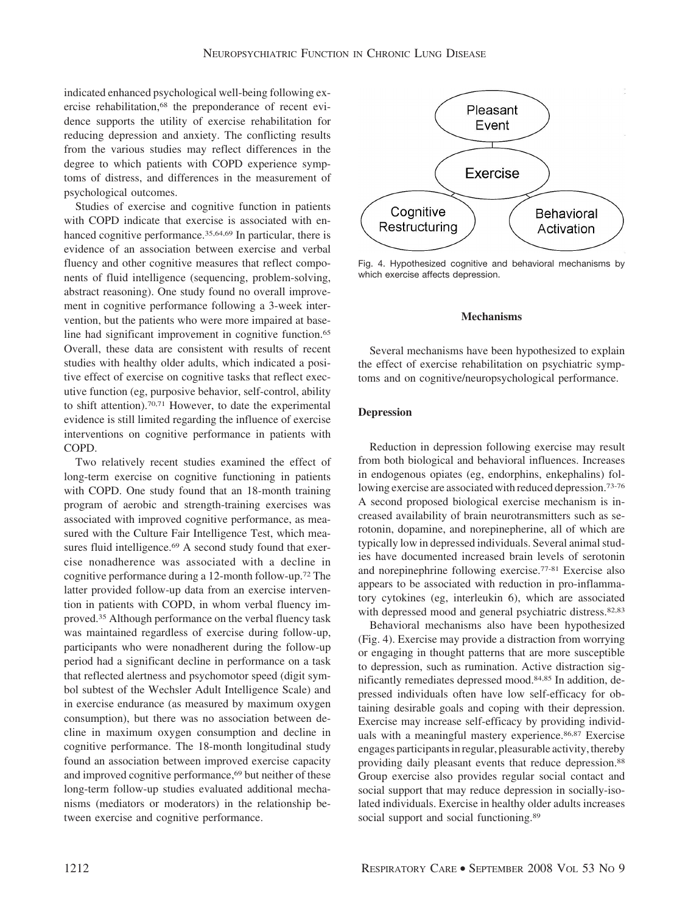indicated enhanced psychological well-being following exercise rehabilitation,<sup>68</sup> the preponderance of recent evidence supports the utility of exercise rehabilitation for reducing depression and anxiety. The conflicting results from the various studies may reflect differences in the degree to which patients with COPD experience symptoms of distress, and differences in the measurement of psychological outcomes.

Studies of exercise and cognitive function in patients with COPD indicate that exercise is associated with enhanced cognitive performance.<sup>35,64,69</sup> In particular, there is evidence of an association between exercise and verbal fluency and other cognitive measures that reflect components of fluid intelligence (sequencing, problem-solving, abstract reasoning). One study found no overall improvement in cognitive performance following a 3-week intervention, but the patients who were more impaired at baseline had significant improvement in cognitive function.<sup>65</sup> Overall, these data are consistent with results of recent studies with healthy older adults, which indicated a positive effect of exercise on cognitive tasks that reflect executive function (eg, purposive behavior, self-control, ability to shift attention).70,71 However, to date the experimental evidence is still limited regarding the influence of exercise interventions on cognitive performance in patients with COPD.

Two relatively recent studies examined the effect of long-term exercise on cognitive functioning in patients with COPD. One study found that an 18-month training program of aerobic and strength-training exercises was associated with improved cognitive performance, as measured with the Culture Fair Intelligence Test, which measures fluid intelligence.<sup>69</sup> A second study found that exercise nonadherence was associated with a decline in cognitive performance during a 12-month follow-up.72 The latter provided follow-up data from an exercise intervention in patients with COPD, in whom verbal fluency improved.35 Although performance on the verbal fluency task was maintained regardless of exercise during follow-up, participants who were nonadherent during the follow-up period had a significant decline in performance on a task that reflected alertness and psychomotor speed (digit symbol subtest of the Wechsler Adult Intelligence Scale) and in exercise endurance (as measured by maximum oxygen consumption), but there was no association between decline in maximum oxygen consumption and decline in cognitive performance. The 18-month longitudinal study found an association between improved exercise capacity and improved cognitive performance,<sup>69</sup> but neither of these long-term follow-up studies evaluated additional mechanisms (mediators or moderators) in the relationship between exercise and cognitive performance.



Fig. 4. Hypothesized cognitive and behavioral mechanisms by which exercise affects depression.

# **Mechanisms**

Several mechanisms have been hypothesized to explain the effect of exercise rehabilitation on psychiatric symptoms and on cognitive/neuropsychological performance.

# **Depression**

Reduction in depression following exercise may result from both biological and behavioral influences. Increases in endogenous opiates (eg, endorphins, enkephalins) following exercise are associated with reduced depression.73-76 A second proposed biological exercise mechanism is increased availability of brain neurotransmitters such as serotonin, dopamine, and norepinepherine, all of which are typically low in depressed individuals. Several animal studies have documented increased brain levels of serotonin and norepinephrine following exercise.77-81 Exercise also appears to be associated with reduction in pro-inflammatory cytokines (eg, interleukin 6), which are associated with depressed mood and general psychiatric distress.<sup>82,83</sup>

Behavioral mechanisms also have been hypothesized (Fig. 4). Exercise may provide a distraction from worrying or engaging in thought patterns that are more susceptible to depression, such as rumination. Active distraction significantly remediates depressed mood.84,85 In addition, depressed individuals often have low self-efficacy for obtaining desirable goals and coping with their depression. Exercise may increase self-efficacy by providing individuals with a meaningful mastery experience.<sup>86,87</sup> Exercise engages participants in regular, pleasurable activity, thereby providing daily pleasant events that reduce depression.88 Group exercise also provides regular social contact and social support that may reduce depression in socially-isolated individuals. Exercise in healthy older adults increases social support and social functioning.<sup>89</sup>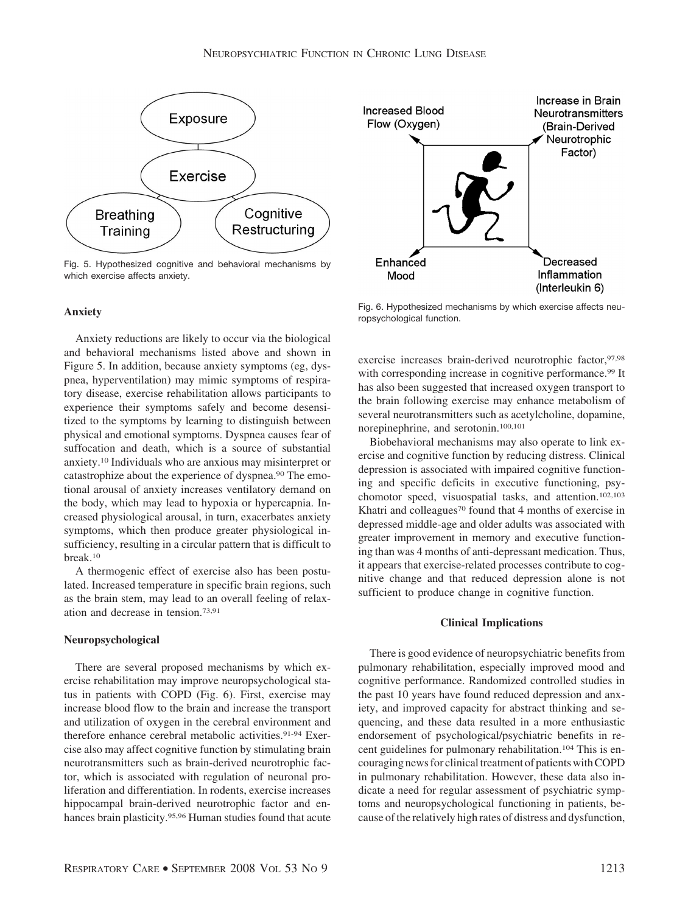

Fig. 5. Hypothesized cognitive and behavioral mechanisms by which exercise affects anxiety.

## **Anxiety**

Anxiety reductions are likely to occur via the biological and behavioral mechanisms listed above and shown in Figure 5. In addition, because anxiety symptoms (eg, dyspnea, hyperventilation) may mimic symptoms of respiratory disease, exercise rehabilitation allows participants to experience their symptoms safely and become desensitized to the symptoms by learning to distinguish between physical and emotional symptoms. Dyspnea causes fear of suffocation and death, which is a source of substantial anxiety.10 Individuals who are anxious may misinterpret or catastrophize about the experience of dyspnea.90 The emotional arousal of anxiety increases ventilatory demand on the body, which may lead to hypoxia or hypercapnia. Increased physiological arousal, in turn, exacerbates anxiety symptoms, which then produce greater physiological insufficiency, resulting in a circular pattern that is difficult to break.10

A thermogenic effect of exercise also has been postulated. Increased temperature in specific brain regions, such as the brain stem, may lead to an overall feeling of relaxation and decrease in tension.73,91

#### **Neuropsychological**

There are several proposed mechanisms by which exercise rehabilitation may improve neuropsychological status in patients with COPD (Fig. 6). First, exercise may increase blood flow to the brain and increase the transport and utilization of oxygen in the cerebral environment and therefore enhance cerebral metabolic activities.<sup>91-94</sup> Exercise also may affect cognitive function by stimulating brain neurotransmitters such as brain-derived neurotrophic factor, which is associated with regulation of neuronal proliferation and differentiation. In rodents, exercise increases hippocampal brain-derived neurotrophic factor and enhances brain plasticity.95,96 Human studies found that acute



Fig. 6. Hypothesized mechanisms by which exercise affects neuropsychological function.

exercise increases brain-derived neurotrophic factor, 97,98 with corresponding increase in cognitive performance.<sup>99</sup> It has also been suggested that increased oxygen transport to the brain following exercise may enhance metabolism of several neurotransmitters such as acetylcholine, dopamine, norepinephrine, and serotonin.100,101

Biobehavioral mechanisms may also operate to link exercise and cognitive function by reducing distress. Clinical depression is associated with impaired cognitive functioning and specific deficits in executive functioning, psychomotor speed, visuospatial tasks, and attention.102,103 Khatri and colleagues<sup>70</sup> found that 4 months of exercise in depressed middle-age and older adults was associated with greater improvement in memory and executive functioning than was 4 months of anti-depressant medication. Thus, it appears that exercise-related processes contribute to cognitive change and that reduced depression alone is not sufficient to produce change in cognitive function.

# **Clinical Implications**

There is good evidence of neuropsychiatric benefits from pulmonary rehabilitation, especially improved mood and cognitive performance. Randomized controlled studies in the past 10 years have found reduced depression and anxiety, and improved capacity for abstract thinking and sequencing, and these data resulted in a more enthusiastic endorsement of psychological/psychiatric benefits in recent guidelines for pulmonary rehabilitation.104 This is encouraging news for clinical treatment of patients with COPD in pulmonary rehabilitation. However, these data also indicate a need for regular assessment of psychiatric symptoms and neuropsychological functioning in patients, because of the relatively high rates of distress and dysfunction,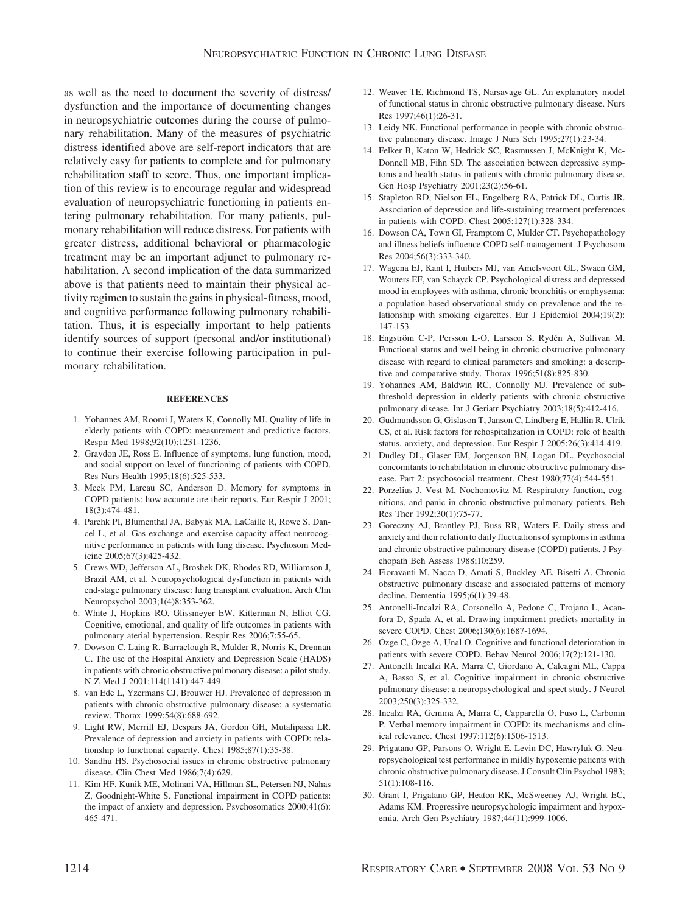as well as the need to document the severity of distress/ dysfunction and the importance of documenting changes in neuropsychiatric outcomes during the course of pulmonary rehabilitation. Many of the measures of psychiatric distress identified above are self-report indicators that are relatively easy for patients to complete and for pulmonary rehabilitation staff to score. Thus, one important implication of this review is to encourage regular and widespread evaluation of neuropsychiatric functioning in patients entering pulmonary rehabilitation. For many patients, pulmonary rehabilitation will reduce distress. For patients with greater distress, additional behavioral or pharmacologic treatment may be an important adjunct to pulmonary rehabilitation. A second implication of the data summarized above is that patients need to maintain their physical activity regimen to sustain the gains in physical-fitness, mood, and cognitive performance following pulmonary rehabilitation. Thus, it is especially important to help patients identify sources of support (personal and/or institutional) to continue their exercise following participation in pulmonary rehabilitation.

#### **REFERENCES**

- 1. Yohannes AM, Roomi J, Waters K, Connolly MJ. Quality of life in elderly patients with COPD: measurement and predictive factors. Respir Med 1998;92(10):1231-1236.
- 2. Graydon JE, Ross E. Influence of symptoms, lung function, mood, and social support on level of functioning of patients with COPD. Res Nurs Health 1995;18(6):525-533.
- 3. Meek PM, Lareau SC, Anderson D. Memory for symptoms in COPD patients: how accurate are their reports. Eur Respir J 2001; 18(3):474-481.
- 4. Parehk PI, Blumenthal JA, Babyak MA, LaCaille R, Rowe S, Dancel L, et al. Gas exchange and exercise capacity affect neurocognitive performance in patients with lung disease. Psychosom Medicine 2005;67(3):425-432.
- 5. Crews WD, Jefferson AL, Broshek DK, Rhodes RD, Williamson J, Brazil AM, et al. Neuropsychological dysfunction in patients with end-stage pulmonary disease: lung transplant evaluation. Arch Clin Neuropsychol 2003;1(4)8:353-362.
- 6. White J, Hopkins RO, Glissmeyer EW, Kitterman N, Elliot CG. Cognitive, emotional, and quality of life outcomes in patients with pulmonary aterial hypertension. Respir Res 2006;7:55-65.
- 7. Dowson C, Laing R, Barraclough R, Mulder R, Norris K, Drennan C. The use of the Hospital Anxiety and Depression Scale (HADS) in patients with chronic obstructive pulmonary disease: a pilot study. N Z Med J 2001;114(1141):447-449.
- 8. van Ede L, Yzermans CJ, Brouwer HJ. Prevalence of depression in patients with chronic obstructive pulmonary disease: a systematic review. Thorax 1999;54(8):688-692.
- 9. Light RW, Merrill EJ, Despars JA, Gordon GH, Mutalipassi LR. Prevalence of depression and anxiety in patients with COPD: relationship to functional capacity. Chest 1985;87(1):35-38.
- 10. Sandhu HS. Psychosocial issues in chronic obstructive pulmonary disease. Clin Chest Med 1986;7(4):629.
- 11. Kim HF, Kunik ME, Molinari VA, Hillman SL, Petersen NJ, Nahas Z, Goodnight-White S. Functional impairment in COPD patients: the impact of anxiety and depression. Psychosomatics 2000;41(6): 465-471.
- 12. Weaver TE, Richmond TS, Narsavage GL. An explanatory model of functional status in chronic obstructive pulmonary disease. Nurs Res 1997;46(1):26-31.
- 13. Leidy NK. Functional performance in people with chronic obstructive pulmonary disease. Image J Nurs Sch 1995;27(1):23-34.
- 14. Felker B, Katon W, Hedrick SC, Rasmussen J, McKnight K, Mc-Donnell MB, Fihn SD. The association between depressive symptoms and health status in patients with chronic pulmonary disease. Gen Hosp Psychiatry 2001;23(2):56-61.
- 15. Stapleton RD, Nielson EL, Engelberg RA, Patrick DL, Curtis JR. Association of depression and life-sustaining treatment preferences in patients with COPD. Chest 2005;127(1):328-334.
- 16. Dowson CA, Town GI, Framptom C, Mulder CT. Psychopathology and illness beliefs influence COPD self-management. J Psychosom Res 2004;56(3):333-340.
- 17. Wagena EJ, Kant I, Huibers MJ, van Amelsvoort GL, Swaen GM, Wouters EF, van Schayck CP. Psychological distress and depressed mood in employees with asthma, chronic bronchitis or emphysema: a population-based observational study on prevalence and the relationship with smoking cigarettes. Eur J Epidemiol 2004;19(2): 147-153.
- 18. Engström C-P, Persson L-O, Larsson S, Rydén A, Sullivan M. Functional status and well being in chronic obstructive pulmonary disease with regard to clinical parameters and smoking: a descriptive and comparative study. Thorax 1996;51(8):825-830.
- 19. Yohannes AM, Baldwin RC, Connolly MJ. Prevalence of subthreshold depression in elderly patients with chronic obstructive pulmonary disease. Int J Geriatr Psychiatry 2003;18(5):412-416.
- 20. Gudmundsson G, Gislason T, Janson C, Lindberg E, Hallin R, Ulrik CS, et al. Risk factors for rehospitalization in COPD: role of health status, anxiety, and depression. Eur Respir J 2005;26(3):414-419.
- 21. Dudley DL, Glaser EM, Jorgenson BN, Logan DL. Psychosocial concomitants to rehabilitation in chronic obstructive pulmonary disease. Part 2: psychosocial treatment. Chest 1980;77(4):544-551.
- 22. Porzelius J, Vest M, Nochomovitz M. Respiratory function, cognitions, and panic in chronic obstructive pulmonary patients. Beh Res Ther 1992;30(1):75-77.
- 23. Goreczny AJ, Brantley PJ, Buss RR, Waters F. Daily stress and anxiety and their relation to daily fluctuations of symptoms in asthma and chronic obstructive pulmonary disease (COPD) patients. J Psychopath Beh Assess 1988;10:259.
- 24. Fioravanti M, Nacca D, Amati S, Buckley AE, Bisetti A. Chronic obstructive pulmonary disease and associated patterns of memory decline. Dementia 1995;6(1):39-48.
- 25. Antonelli-Incalzi RA, Corsonello A, Pedone C, Trojano L, Acanfora D, Spada A, et al. Drawing impairment predicts mortality in severe COPD. Chest 2006;130(6):1687-1694.
- 26. Özge C, Özge A, Unal O. Cognitive and functional deterioration in patients with severe COPD. Behav Neurol 2006;17(2):121-130.
- 27. Antonelli Incalzi RA, Marra C, Giordano A, Calcagni ML, Cappa A, Basso S, et al. Cognitive impairment in chronic obstructive pulmonary disease: a neuropsychological and spect study. J Neurol 2003;250(3):325-332.
- 28. Incalzi RA, Gemma A, Marra C, Capparella O, Fuso L, Carbonin P. Verbal memory impairment in COPD: its mechanisms and clinical relevance. Chest 1997;112(6):1506-1513.
- 29. Prigatano GP, Parsons O, Wright E, Levin DC, Hawryluk G. Neuropsychological test performance in mildly hypoxemic patients with chronic obstructive pulmonary disease. J Consult Clin Psychol 1983; 51(1):108-116.
- 30. Grant I, Prigatano GP, Heaton RK, McSweeney AJ, Wright EC, Adams KM. Progressive neuropsychologic impairment and hypoxemia. Arch Gen Psychiatry 1987;44(11):999-1006.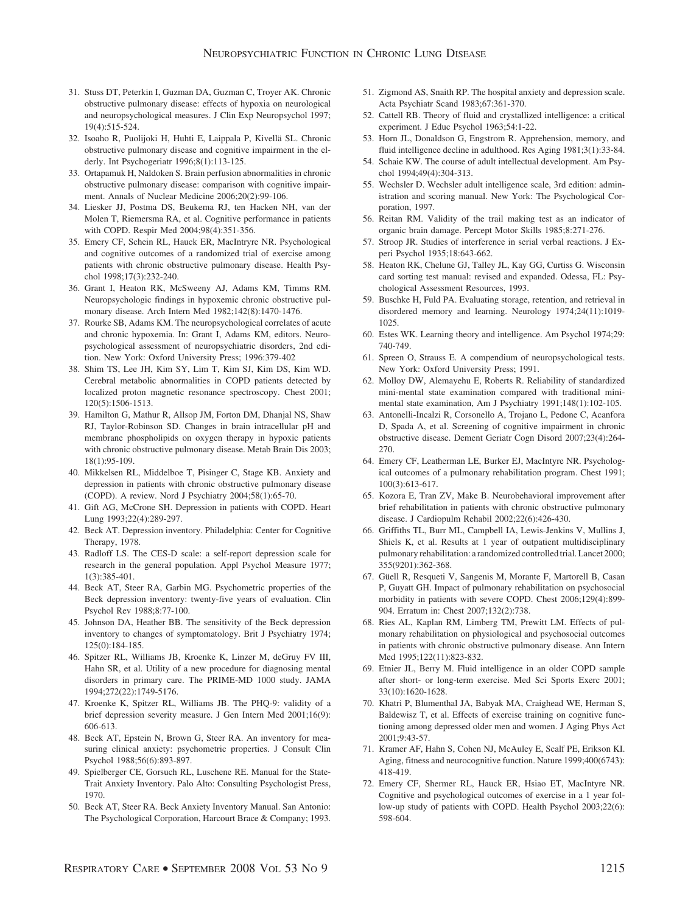- 31. Stuss DT, Peterkin I, Guzman DA, Guzman C, Troyer AK. Chronic obstructive pulmonary disease: effects of hypoxia on neurological and neuropsychological measures. J Clin Exp Neuropsychol 1997; 19(4):515-524.
- 32. Isoaho R, Puolijoki H, Huhti E, Laippala P, Kivellä SL. Chronic obstructive pulmonary disease and cognitive impairment in the elderly. Int Psychogeriatr 1996;8(1):113-125.
- 33. Ortapamuk H, Naldoken S. Brain perfusion abnormalities in chronic obstructive pulmonary disease: comparison with cognitive impairment. Annals of Nuclear Medicine 2006;20(2):99-106.
- 34. Liesker JJ, Postma DS, Beukema RJ, ten Hacken NH, van der Molen T, Riemersma RA, et al. Cognitive performance in patients with COPD. Respir Med 2004;98(4):351-356.
- 35. Emery CF, Schein RL, Hauck ER, MacIntryre NR. Psychological and cognitive outcomes of a randomized trial of exercise among patients with chronic obstructive pulmonary disease. Health Psychol 1998;17(3):232-240.
- 36. Grant I, Heaton RK, McSweeny AJ, Adams KM, Timms RM. Neuropsychologic findings in hypoxemic chronic obstructive pulmonary disease. Arch Intern Med 1982;142(8):1470-1476.
- 37. Rourke SB, Adams KM. The neuropsychological correlates of acute and chronic hypoxemia. In: Grant I, Adams KM, editors. Neuropsychological assessment of neuropsychiatric disorders, 2nd edition. New York: Oxford University Press; 1996:379-402
- 38. Shim TS, Lee JH, Kim SY, Lim T, Kim SJ, Kim DS, Kim WD. Cerebral metabolic abnormalities in COPD patients detected by localized proton magnetic resonance spectroscopy. Chest 2001; 120(5):1506-1513.
- 39. Hamilton G, Mathur R, Allsop JM, Forton DM, Dhanjal NS, Shaw RJ, Taylor-Robinson SD. Changes in brain intracellular pH and membrane phospholipids on oxygen therapy in hypoxic patients with chronic obstructive pulmonary disease. Metab Brain Dis 2003; 18(1):95-109.
- 40. Mikkelsen RL, Middelboe T, Pisinger C, Stage KB. Anxiety and depression in patients with chronic obstructive pulmonary disease (COPD). A review. Nord J Psychiatry 2004;58(1):65-70.
- 41. Gift AG, McCrone SH. Depression in patients with COPD. Heart Lung 1993;22(4):289-297.
- 42. Beck AT. Depression inventory. Philadelphia: Center for Cognitive Therapy, 1978.
- 43. Radloff LS. The CES-D scale: a self-report depression scale for research in the general population. Appl Psychol Measure 1977; 1(3):385-401.
- 44. Beck AT, Steer RA, Garbin MG. Psychometric properties of the Beck depression inventory: twenty-five years of evaluation. Clin Psychol Rev 1988;8:77-100.
- 45. Johnson DA, Heather BB. The sensitivity of the Beck depression inventory to changes of symptomatology. Brit J Psychiatry 1974; 125(0):184-185.
- 46. Spitzer RL, Williams JB, Kroenke K, Linzer M, deGruy FV III, Hahn SR, et al. Utility of a new procedure for diagnosing mental disorders in primary care. The PRIME-MD 1000 study. JAMA 1994;272(22):1749-5176.
- 47. Kroenke K, Spitzer RL, Williams JB. The PHQ-9: validity of a brief depression severity measure. J Gen Intern Med 2001;16(9): 606-613.
- 48. Beck AT, Epstein N, Brown G, Steer RA. An inventory for measuring clinical anxiety: psychometric properties. J Consult Clin Psychol 1988;56(6):893-897.
- 49. Spielberger CE, Gorsuch RL, Luschene RE. Manual for the State-Trait Anxiety Inventory. Palo Alto: Consulting Psychologist Press, 1970.
- 50. Beck AT, Steer RA. Beck Anxiety Inventory Manual. San Antonio: The Psychological Corporation, Harcourt Brace & Company; 1993.
- 51. Zigmond AS, Snaith RP. The hospital anxiety and depression scale. Acta Psychiatr Scand 1983;67:361-370.
- 52. Cattell RB. Theory of fluid and crystallized intelligence: a critical experiment. J Educ Psychol 1963;54:1-22.
- 53. Horn JL, Donaldson G, Engstrom R. Apprehension, memory, and fluid intelligence decline in adulthood. Res Aging 1981;3(1):33-84.
- 54. Schaie KW. The course of adult intellectual development. Am Psychol 1994;49(4):304-313.
- 55. Wechsler D. Wechsler adult intelligence scale, 3rd edition: administration and scoring manual. New York: The Psychological Corporation, 1997.
- 56. Reitan RM. Validity of the trail making test as an indicator of organic brain damage. Percept Motor Skills 1985;8:271-276.
- 57. Stroop JR. Studies of interference in serial verbal reactions. J Experi Psychol 1935;18:643-662.
- 58. Heaton RK, Chelune GJ, Talley JL, Kay GG, Curtiss G. Wisconsin card sorting test manual: revised and expanded. Odessa, FL: Psychological Assessment Resources, 1993.
- 59. Buschke H, Fuld PA. Evaluating storage, retention, and retrieval in disordered memory and learning. Neurology 1974;24(11):1019- 1025.
- 60. Estes WK. Learning theory and intelligence. Am Psychol 1974;29: 740-749.
- 61. Spreen O, Strauss E. A compendium of neuropsychological tests. New York: Oxford University Press; 1991.
- 62. Molloy DW, Alemayehu E, Roberts R. Reliability of standardized mini-mental state examination compared with traditional minimental state examination, Am J Psychiatry 1991;148(1):102-105.
- 63. Antonelli-Incalzi R, Corsonello A, Trojano L, Pedone C, Acanfora D, Spada A, et al. Screening of cognitive impairment in chronic obstructive disease. Dement Geriatr Cogn Disord 2007;23(4):264- 270.
- 64. Emery CF, Leatherman LE, Burker EJ, MacIntyre NR. Psychological outcomes of a pulmonary rehabilitation program. Chest 1991; 100(3):613-617.
- 65. Kozora E, Tran ZV, Make B. Neurobehavioral improvement after brief rehabilitation in patients with chronic obstructive pulmonary disease. J Cardiopulm Rehabil 2002;22(6):426-430.
- 66. Griffiths TL, Burr ML, Campbell IA, Lewis-Jenkins V, Mullins J, Shiels K, et al. Results at 1 year of outpatient multidisciplinary pulmonary rehabilitation: a randomized controlled trial. Lancet 2000; 355(9201):362-368.
- 67. Güell R, Resqueti V, Sangenis M, Morante F, Martorell B, Casan P, Guyatt GH. Impact of pulmonary rehabilitation on psychosocial morbidity in patients with severe COPD. Chest 2006;129(4):899- 904. Erratum in: Chest 2007;132(2):738.
- 68. Ries AL, Kaplan RM, Limberg TM, Prewitt LM. Effects of pulmonary rehabilitation on physiological and psychosocial outcomes in patients with chronic obstructive pulmonary disease. Ann Intern Med 1995;122(11):823-832.
- 69. Etnier JL, Berry M. Fluid intelligence in an older COPD sample after short- or long-term exercise. Med Sci Sports Exerc 2001; 33(10):1620-1628.
- 70. Khatri P, Blumenthal JA, Babyak MA, Craighead WE, Herman S, Baldewisz T, et al. Effects of exercise training on cognitive functioning among depressed older men and women. J Aging Phys Act 2001;9:43-57.
- 71. Kramer AF, Hahn S, Cohen NJ, McAuley E, Scalf PE, Erikson KI. Aging, fitness and neurocognitive function. Nature 1999;400(6743): 418-419.
- 72. Emery CF, Shermer RL, Hauck ER, Hsiao ET, MacIntyre NR. Cognitive and psychological outcomes of exercise in a 1 year follow-up study of patients with COPD. Health Psychol 2003;22(6): 598-604.